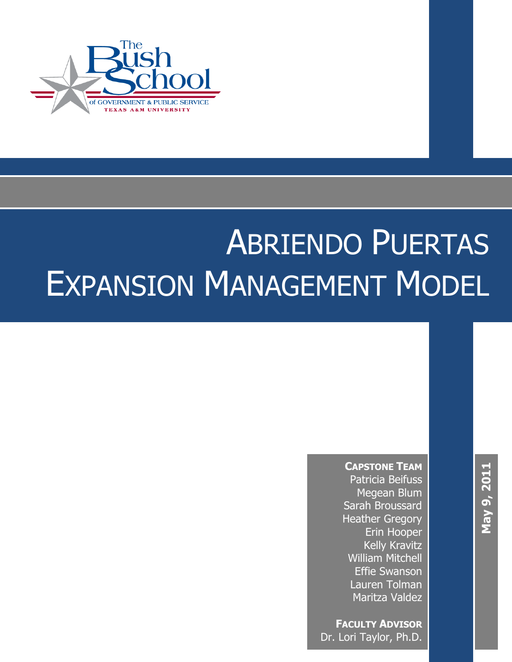

## $\overline{X}$  the document subtitle  $\overline{X}$ **[Pick the date]** ABRIENDO PUERTAS EXPANSION MANAGEMENT MODEL

 $\overline{\phantom{a}}$  and the document title  $\overline{\phantom{a}}$ 

**CAPSTONE TEAM** Patricia Beifuss Megean Blum Sarah Broussard Heather Gregory Erin Hooper Kelly Kravitz William Mitchell Effie Swanson Lauren Tolman Maritza Valdez

**FACULTY ADVISOR** Dr. Lori Taylor, Ph.D.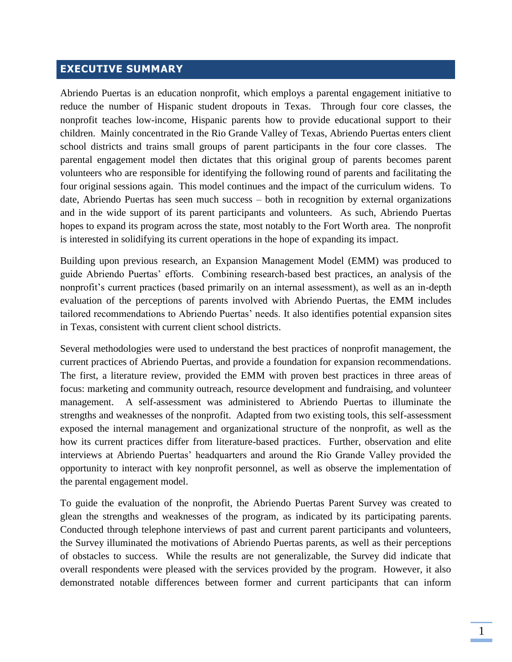## **EXECUTIVE SUMMARY**

Abriendo Puertas is an education nonprofit, which employs a parental engagement initiative to reduce the number of Hispanic student dropouts in Texas. Through four core classes, the nonprofit teaches low-income, Hispanic parents how to provide educational support to their children. Mainly concentrated in the Rio Grande Valley of Texas, Abriendo Puertas enters client school districts and trains small groups of parent participants in the four core classes. The parental engagement model then dictates that this original group of parents becomes parent volunteers who are responsible for identifying the following round of parents and facilitating the four original sessions again. This model continues and the impact of the curriculum widens. To date, Abriendo Puertas has seen much success – both in recognition by external organizations and in the wide support of its parent participants and volunteers. As such, Abriendo Puertas hopes to expand its program across the state, most notably to the Fort Worth area. The nonprofit is interested in solidifying its current operations in the hope of expanding its impact.

Building upon previous research, an Expansion Management Model (EMM) was produced to guide Abriendo Puertas' efforts. Combining research-based best practices, an analysis of the nonprofit's current practices (based primarily on an internal assessment), as well as an in-depth evaluation of the perceptions of parents involved with Abriendo Puertas, the EMM includes tailored recommendations to Abriendo Puertas' needs. It also identifies potential expansion sites in Texas, consistent with current client school districts.

Several methodologies were used to understand the best practices of nonprofit management, the current practices of Abriendo Puertas, and provide a foundation for expansion recommendations. The first, a literature review, provided the EMM with proven best practices in three areas of focus: marketing and community outreach, resource development and fundraising, and volunteer management. A self-assessment was administered to Abriendo Puertas to illuminate the strengths and weaknesses of the nonprofit. Adapted from two existing tools, this self-assessment exposed the internal management and organizational structure of the nonprofit, as well as the how its current practices differ from literature-based practices. Further, observation and elite interviews at Abriendo Puertas' headquarters and around the Rio Grande Valley provided the opportunity to interact with key nonprofit personnel, as well as observe the implementation of the parental engagement model.

To guide the evaluation of the nonprofit, the Abriendo Puertas Parent Survey was created to glean the strengths and weaknesses of the program, as indicated by its participating parents. Conducted through telephone interviews of past and current parent participants and volunteers, the Survey illuminated the motivations of Abriendo Puertas parents, as well as their perceptions of obstacles to success. While the results are not generalizable, the Survey did indicate that overall respondents were pleased with the services provided by the program. However, it also demonstrated notable differences between former and current participants that can inform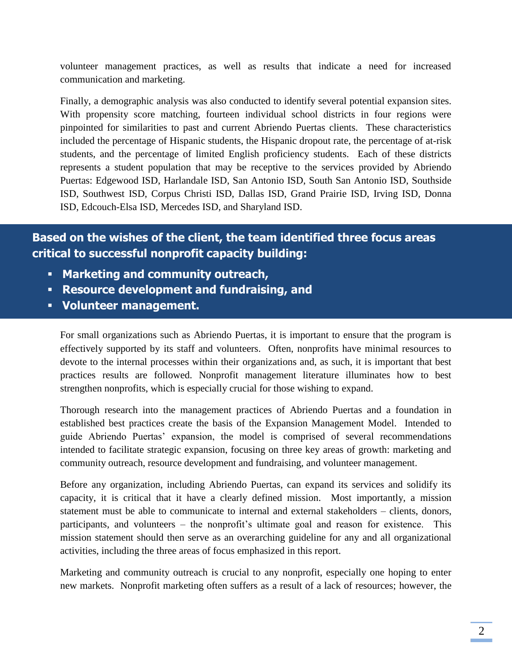volunteer management practices, as well as results that indicate a need for increased communication and marketing.

Finally, a demographic analysis was also conducted to identify several potential expansion sites. With propensity score matching, fourteen individual school districts in four regions were pinpointed for similarities to past and current Abriendo Puertas clients. These characteristics included the percentage of Hispanic students, the Hispanic dropout rate, the percentage of at-risk students, and the percentage of limited English proficiency students. Each of these districts represents a student population that may be receptive to the services provided by Abriendo Puertas: Edgewood ISD, Harlandale ISD, San Antonio ISD, South San Antonio ISD, Southside ISD, Southwest ISD, Corpus Christi ISD, Dallas ISD, Grand Prairie ISD, Irving ISD, Donna ISD, Edcouch-Elsa ISD, Mercedes ISD, and Sharyland ISD.

## **Based on the wishes of the client, the team identified three focus areas critical to successful nonprofit capacity building:**

- **Marketing and community outreach,**
- **Resource development and fundraising, and**
- **Volunteer management.**

For small organizations such as Abriendo Puertas, it is important to ensure that the program is effectively supported by its staff and volunteers. Often, nonprofits have minimal resources to devote to the internal processes within their organizations and, as such, it is important that best practices results are followed. Nonprofit management literature illuminates how to best strengthen nonprofits, which is especially crucial for those wishing to expand.

Thorough research into the management practices of Abriendo Puertas and a foundation in established best practices create the basis of the Expansion Management Model. Intended to guide Abriendo Puertas' expansion, the model is comprised of several recommendations intended to facilitate strategic expansion, focusing on three key areas of growth: marketing and community outreach, resource development and fundraising, and volunteer management.

Before any organization, including Abriendo Puertas, can expand its services and solidify its capacity, it is critical that it have a clearly defined mission. Most importantly, a mission statement must be able to communicate to internal and external stakeholders – clients, donors, participants, and volunteers – the nonprofit's ultimate goal and reason for existence. This mission statement should then serve as an overarching guideline for any and all organizational activities, including the three areas of focus emphasized in this report.

Marketing and community outreach is crucial to any nonprofit, especially one hoping to enter new markets. Nonprofit marketing often suffers as a result of a lack of resources; however, the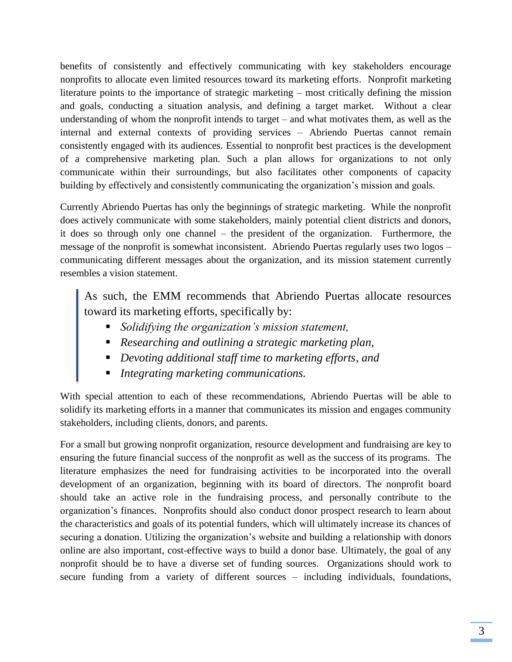benefits of consistently and effectively communicating with key stakeholders encourage nonprofits to allocate even limited resources toward its marketing efforts. Nonprofit marketing literature points to the importance of strategic marketing – most critically defining the mission and goals, conducting a situation analysis, and defining a target market. Without a clear understanding of whom the nonprofit intends to target – and what motivates them, as well as the internal and external contexts of providing services – Abriendo Puertas cannot remain consistently engaged with its audiences. Essential to nonprofit best practices is the development of a comprehensive marketing plan. Such a plan allows for organizations to not only communicate within their surroundings, but also facilitates other components of capacity building by effectively and consistently communicating the organization's mission and goals.

Currently Abriendo Puertas has only the beginnings of strategic marketing. While the nonprofit does actively communicate with some stakeholders, mainly potential client districts and donors, it does so through only one channel – the president of the organization. Furthermore, the message of the nonprofit is somewhat inconsistent. Abriendo Puertas regularly uses two logos – communicating different messages about the organization, and its mission statement currently resembles a vision statement.

As such, the EMM recommends that Abriendo Puertas allocate resources toward its marketing efforts, specifically by:

- *Solidifying the organization's mission statement,*
- *Researching and outlining a strategic marketing plan,*
- *Devoting additional staff time to marketing efforts, and*
- *Integrating marketing communications.*

With special attention to each of these recommendations, Abriendo Puertas will be able to solidify its marketing efforts in a manner that communicates its mission and engages community stakeholders, including clients, donors, and parents.

For a small but growing nonprofit organization, resource development and fundraising are key to ensuring the future financial success of the nonprofit as well as the success of its programs. The literature emphasizes the need for fundraising activities to be incorporated into the overall development of an organization, beginning with its board of directors. The nonprofit board should take an active role in the fundraising process, and personally contribute to the organization's finances. Nonprofits should also conduct donor prospect research to learn about the characteristics and goals of its potential funders, which will ultimately increase its chances of securing a donation. Utilizing the organization's website and building a relationship with donors online are also important, cost-effective ways to build a donor base. Ultimately, the goal of any nonprofit should be to have a diverse set of funding sources. Organizations should work to secure funding from a variety of different sources – including individuals, foundations,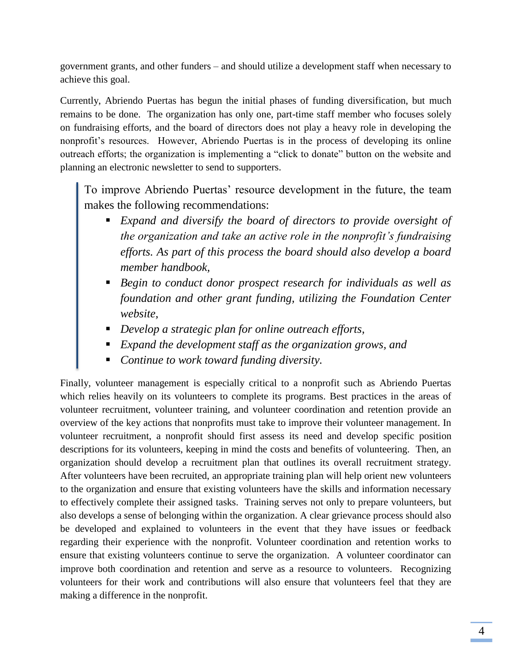government grants, and other funders – and should utilize a development staff when necessary to achieve this goal.

Currently, Abriendo Puertas has begun the initial phases of funding diversification, but much remains to be done. The organization has only one, part-time staff member who focuses solely on fundraising efforts, and the board of directors does not play a heavy role in developing the nonprofit's resources. However, Abriendo Puertas is in the process of developing its online outreach efforts; the organization is implementing a "click to donate" button on the website and planning an electronic newsletter to send to supporters.

To improve Abriendo Puertas' resource development in the future, the team makes the following recommendations:

- *Expand and diversify the board of directors to provide oversight of the organization and take an active role in the nonprofit's fundraising efforts. As part of this process the board should also develop a board member handbook,*
- *Begin to conduct donor prospect research for individuals as well as foundation and other grant funding, utilizing the Foundation Center website,*
- *Develop a strategic plan for online outreach efforts,*
- *Expand the development staff as the organization grows, and*
- *Continue to work toward funding diversity.*

Finally, volunteer management is especially critical to a nonprofit such as Abriendo Puertas which relies heavily on its volunteers to complete its programs. Best practices in the areas of volunteer recruitment, volunteer training, and volunteer coordination and retention provide an overview of the key actions that nonprofits must take to improve their volunteer management. In volunteer recruitment, a nonprofit should first assess its need and develop specific position descriptions for its volunteers, keeping in mind the costs and benefits of volunteering. Then, an organization should develop a recruitment plan that outlines its overall recruitment strategy. After volunteers have been recruited, an appropriate training plan will help orient new volunteers to the organization and ensure that existing volunteers have the skills and information necessary to effectively complete their assigned tasks. Training serves not only to prepare volunteers, but also develops a sense of belonging within the organization. A clear grievance process should also be developed and explained to volunteers in the event that they have issues or feedback regarding their experience with the nonprofit. Volunteer coordination and retention works to ensure that existing volunteers continue to serve the organization. A volunteer coordinator can improve both coordination and retention and serve as a resource to volunteers. Recognizing volunteers for their work and contributions will also ensure that volunteers feel that they are making a difference in the nonprofit.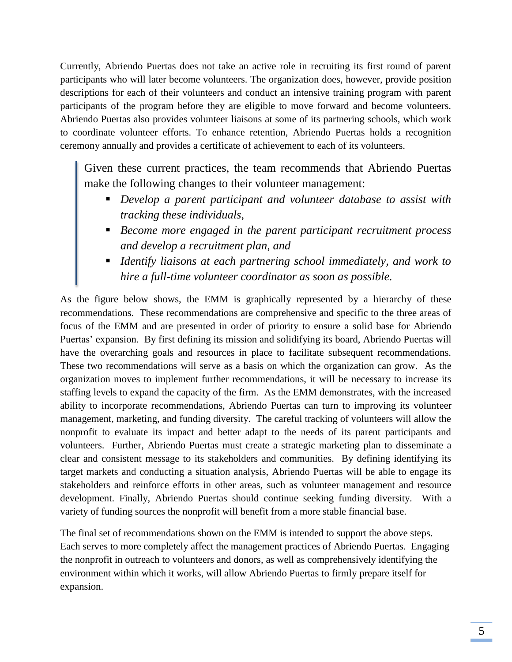Currently, Abriendo Puertas does not take an active role in recruiting its first round of parent participants who will later become volunteers. The organization does, however, provide position descriptions for each of their volunteers and conduct an intensive training program with parent participants of the program before they are eligible to move forward and become volunteers. Abriendo Puertas also provides volunteer liaisons at some of its partnering schools, which work to coordinate volunteer efforts. To enhance retention, Abriendo Puertas holds a recognition ceremony annually and provides a certificate of achievement to each of its volunteers.

Given these current practices, the team recommends that Abriendo Puertas make the following changes to their volunteer management:

- *Develop a parent participant and volunteer database to assist with tracking these individuals,*
- *Become more engaged in the parent participant recruitment process and develop a recruitment plan, and*
- *Identify liaisons at each partnering school immediately, and work to hire a full-time volunteer coordinator as soon as possible.*

As the figure below shows, the EMM is graphically represented by a hierarchy of these recommendations. These recommendations are comprehensive and specific to the three areas of focus of the EMM and are presented in order of priority to ensure a solid base for Abriendo Puertas' expansion. By first defining its mission and solidifying its board, Abriendo Puertas will have the overarching goals and resources in place to facilitate subsequent recommendations. These two recommendations will serve as a basis on which the organization can grow. As the organization moves to implement further recommendations, it will be necessary to increase its staffing levels to expand the capacity of the firm. As the EMM demonstrates, with the increased ability to incorporate recommendations, Abriendo Puertas can turn to improving its volunteer management, marketing, and funding diversity. The careful tracking of volunteers will allow the nonprofit to evaluate its impact and better adapt to the needs of its parent participants and volunteers. Further, Abriendo Puertas must create a strategic marketing plan to disseminate a clear and consistent message to its stakeholders and communities. By defining identifying its target markets and conducting a situation analysis, Abriendo Puertas will be able to engage its stakeholders and reinforce efforts in other areas, such as volunteer management and resource development. Finally, Abriendo Puertas should continue seeking funding diversity. With a variety of funding sources the nonprofit will benefit from a more stable financial base.

The final set of recommendations shown on the EMM is intended to support the above steps. Each serves to more completely affect the management practices of Abriendo Puertas. Engaging the nonprofit in outreach to volunteers and donors, as well as comprehensively identifying the environment within which it works, will allow Abriendo Puertas to firmly prepare itself for expansion.